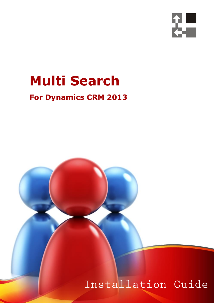

## **Multi Search**

### **For Dynamics CRM 2013**

Installation Guide

 *Page 1 of 15 Multi Search 2013*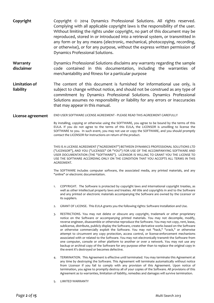- **Copyright** Copyright © 2014 Dynamics Professional Solutions. All rights reserved. Complying with all applicable copyright laws is the responsibility of the user. Without limiting the rights under copyright, no part of this document may be reproduced, stored in or introduced into a retrieval system, or transmitted in any form or by any means (electronic, mechanical, photocopying, recording, or otherwise), or for any purpose, without the express written permission of Dynamics Professional Solutions. **Warranty disclaimer** Dynamics Professional Solutions disclaims any warranty regarding the sample code contained in this documentation, including the warranties of merchantability and fitness for a particular purpose
- **Limitation of liability** The content of this document is furnished for informational use only, is subject to change without notice, and should not be construed as any type of commitment by Dynamics Professional Solutions. Dynamics Professional Solutions assumes no responsibility or liability for any errors or inaccuracies that may appear in this manual.
- **License agreement** END USER SOFTWARE LICENSE AGREEMENT PLEASE READ THIS AGREEMENT CAREFULLY

By installing, copying or otherwise using the SOFTWARE, you agree to be bound by the terms of this EULA. If you do not agree to the terms of this EULA, the LICENSOR is unwilling to license the SOFTWARE to you. In such event, you may not use or copy the SOFTWARE, and you should promptly contact the LICENSOR for instructions on return of the product.

THIS IS A LICENSE AGREEMENT ("AGREEMENT") BETWEEN DYNAMICS PROFESSIONAL SOLUTIONS LTD ("LICENSOR"), AND YOU ("LICENSEE" OR "YOU") FOR USE OF THE ACCOMPANYING SOFTWARE AND USER DOCUMENTATION (THE "SOFTWARE"). LICENSOR IS WILLING TO GRANT YOU THE LICENSE TO USE THE SOFTWARE ACCORDING ONLY ON THE CONDITION THAT YOU ACCEPTS ALL TERMS IN THIS AGREEMENT.

The SOFTWARE includes computer software, the associated media, any printed materials, and any "online" or electronic documentation.

- 1. COPYRIGHT. The Software is protected by copyright laws and international copyright treaties, as well as other intellectual property laws and treaties. All title and copyrights in and to the Software and any printed or electronic materials accompanying the Software are owned by the Licensor or its suppliers.
- 2. GRANT OF LICENSE. This EULA grants you the following rights: Software Installation and Use.
- 3. RESTRICTIONS. You may not delete or obscure any copyright, trademark or other proprietary notice on the Software or accompanying printed materials. You may not decompile, modify, reverse engineer, disassemble or otherwise reproduce the Software. You may not copy, rent, lease, sublicense, distribute, publicly display the Software, create derivative works based on the Software or otherwise commercially exploit the Software. You may not "hack," "crack," or otherwise attempt to circumvent any copy protection, access control, or license-enforcement mechanisms associated with or related to the Software. You may not electronically transmit the Software from one computer, console or other platform to another or over a network. You may not use any backup or archival copy of the Software for any purpose other than to replace the original copy in the event it's destroyed or becomes defective.
- 4. TERMINATION. This Agreement is effective until terminated. You may terminate this Agreement at any time by destroying the Software. This Agreement will terminate automatically without notice from Licensor if you fail to comply with any provision of this Agreement. Upon notice of termination, you agree to promptly destroy all of your copies of the Software. All provisions of this Agreement as to warranties, limitation of liability, remedies and damages will survive termination.
- 5. LIMITED WARRANTY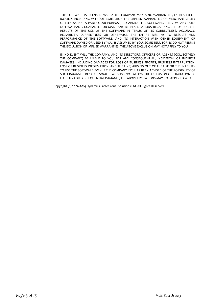THIS SOFTWARE IS LICENSED "AS IS." THE COMPANY MAKES NO WARRANTIES, EXPRESSED OR IMPLIED, INCLUDING WITHOUT LIMITATION THE IMPLIED WARRANTIES OF MERCHANTABILITY OF FITNESS FOR A PARTICULAR PURPOSE, REGARDING THE SOFTWARE. THE COMPANY DOES NOT WARRANT, GUARANTEE OR MAKE ANY REPRESENTATIONS REGARDING THE USE OR THE RESULTS OF THE USE OF THE SOFTWARE IN TERMS OF ITS CORRECTNESS, ACCURACY, RELIABILITY, CURRENTNESS OR OTHERWISE. THE ENTIRE RISK AS TO RESULTS AND PERFORMANCE OF THE SOFTWARE, AND ITS INTERACTION WITH OTHER EQUIPMENT OR SOFTWARE OWNED OR USED BY YOU, IS ASSUMED BY YOU. SOME TERRITORIES DO NOT PERMIT THE EXCLUSION OF IMPLIED WARRANTIES. THE ABOVE EXCLUSION MAY NOT APPLY TO YOU.

IN NO EVENT WILL THE COMPANY, AND ITS DIRECTORS, OFFICERS OR AGENTS (COLLECTIVELY THE COMPANY) BE LIABLE TO YOU FOR ANY CONSEQUENTIAL, INCIDENTAL OR INDIRECT DAMAGES (INCLUDING DAMAGES FOR LOSS OF BUSINESS PROFITS, BUSINESS INTERRUPTION, LOSS OF BUSINESS INFORMATION, AND THE LIKE) ARISING OUT OF THE USE OR THE INABILITY TO USE THE SOFTWARE EVEN IF THE COMPANY INC. HAS BEEN ADVISED OF THE POSSIBILITY OF SUCH DAMAGES. BECAUSE SOME STATES DO NOT ALLOW THE EXCLUSION OR LIMITATION OF LIABILITY FOR CONSEQUENTIAL DAMAGES, THE ABOVE LIMITATIONS MAY NOT APPLY TO YOU.

Copyright (c) 2006-2014 Dynamics Professional Solutions Ltd. All Rights Reserved.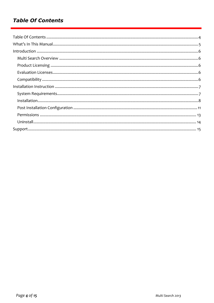#### **Table Of Contents**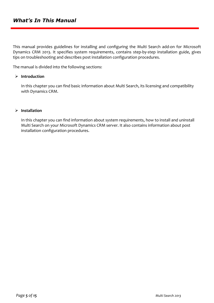This manual provides guidelines for installing and configuring the Multi Search add-on for Microsoft Dynamics CRM 2013. It specifies system requirements, contains step-by-step installation guide, gives tips on troubleshooting and describes post installation configuration procedures.

The manual is divided into the following sections:

#### **Introduction**

In this chapter you can find basic information about Multi Search, its licensing and compatibility with Dynamics CRM.

#### **Installation**

In this chapter you can find information about system requirements, how to install and uninstall Multi Search on your Microsoft Dynamics CRM server. It also contains information about post installation configuration procedures.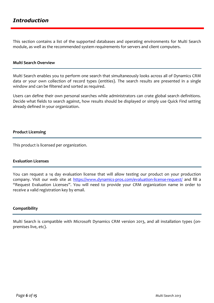This section contains a list of the supported databases and operating environments for Multi Search module, as well as the recommended system requirements for servers and client computers.

#### **Multi Search Overview**

Multi Search enables you to perform one search that simultaneously looks across all of Dynamics CRM data or your own collection of record types (entities). The search results are presented in a single window and can be filtered and sorted as required.

Users can define their own personal searches while administrators can crate global search definitions. Decide what fields to search against, how results should be displayed or simply use Quick Find setting already defined in your organization.

#### **Product Licensing**

This product is licensed per organization.

#### **Evaluation Licenses**

You can request a 14 day evaluation license that will allow testing our product on your production company. Visit our web site at<https://www.dynamics-pros.com/evaluation-license-request/> and fill a "Request Evaluation Licenses". You will need to provide your CRM organization name in order to receive a valid registration key by email.

#### **Compatibility**

Multi Search is compatible with Microsoft Dynamics CRM version 2013, and all installation types (onpremises live, etc).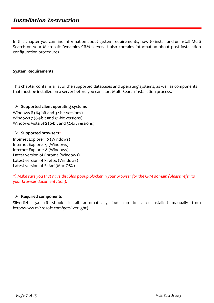In this chapter you can find information about system requirements, how to install and uninstall Multi Search on your Microsoft Dynamics CRM server. It also contains information about post installation configuration procedures.

#### **System Requirements**

This chapter contains a list of the supported databases and operating systems, as well as components that must be installed on a server before you can start Multi Search installation process.

#### **Supported client operating systems**

Windows 8 (64-bit and 32-bit versions) Windows 7 (64-bit and 32-bit versions) Windows Vista SP2 (6-bit and 32-bit versions)

#### **Supported browsers\***

Internet Explorer 10 (Windows) Internet Explorer 9 (Windows) Internet Explorer 8 (Windows) Latest version of Chrome (Windows) Latest version of Firefox (Windows) Latest version of Safari (Mac OSX)

*\*) Make sure you that have disabled popup blocker in your browser for the CRM domain (please refer to your browser documentation).*

#### **Required components**

Silverlight 5.0 (it should install automatically, but can be also installed manually from http://www.microsoft.com/getsilverlight).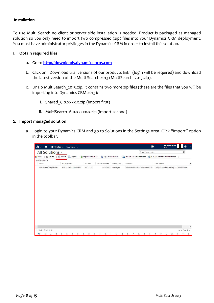To use Multi Search no client or server side installation is needed. Product is packaged as managed solution so you only need to import two compressed (zip) files into your Dynamics CRM deployment. You must have administrator privileges in the Dynamics CRM in order to install this solution.

#### **1. Obtain required files**

- a. Go to **[http://downloads.dynamics-pros.com](http://downloads.dynamics-pros.com/)**
- b. Click on "Download trial versions of our products link" (login will be required) and download the latest version of the Multi Search 2013 (MultiSearch\_2013.zip).
- c. Unzip MultiSearch\_2013.zip. It contains two more zip files (these are the files that you will be importing into Dynamics CRM 2013):
	- i. Shared 6.0.xxxx.x.zip (import first)
	- ii. MultiSearch 6.0.xxxxx.x.zip (import second)

#### **2. Import managed solution**

a. Login to your Dynamics CRM and go to Solutions in the Settings Area. Click "Import" option in the toolbar.

| SETTINGS $\small{\sim}$<br>n                | Solutions $  \vee$    |                     |                     |            |                                     | $\oplus$           | <b>Adam McAma</b><br>First                |               | 2             |
|---------------------------------------------|-----------------------|---------------------|---------------------|------------|-------------------------------------|--------------------|-------------------------------------------|---------------|---------------|
| All Solutions v<br>X Delete                 |                       | Import Translations | Export Translations |            |                                     | Search for records | Get Solutions from Marketplace            | $\mathcal{Q}$ |               |
| <b>8</b> <sup>9</sup> New<br>More Actions + | Import<br>Export      |                     |                     |            | Publish All Customizations          |                    |                                           |               |               |
| Name                                        | Display Name          | Version             | Installed On 个      | Package Ty | Publisher                           |                    | Description                               |               | G             |
| DPSSharedComponents                         | DPS Shared Components | 6.0.13273.8         | 02/10/2013          | Managed    | Dynamics Professional Solutions Ltd |                    | Components required by all DPS solutions. |               |               |
|                                             |                       |                     |                     |            |                                     |                    |                                           |               |               |
|                                             |                       |                     |                     |            |                                     |                    |                                           |               |               |
|                                             |                       |                     |                     |            |                                     |                    |                                           |               |               |
|                                             |                       |                     |                     |            |                                     |                    |                                           |               |               |
|                                             |                       |                     |                     |            |                                     |                    |                                           |               |               |
|                                             |                       |                     |                     |            |                                     |                    |                                           |               |               |
| $\langle$                                   |                       |                     |                     |            |                                     |                    |                                           |               | $\rightarrow$ |
| 1 - 1 of 1 (0 selected)<br>All<br>B         | D<br>C<br>Ε           | H<br>G              |                     | M<br>N.    | $\circ$<br>$\circ$<br>R             | S.                 | $\cup$<br>V<br>w                          | H 4 Page 1 ▶  |               |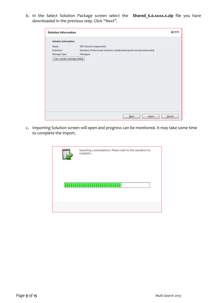b. In the Select Solution Package screen select the **[Shared\\_6.0.xxxx.x.zip](http://www.dynamics-pros.com/LinkClick.aspx?fileticket=rMd73e1DcUs%3d&tabid=102&mid=970)** file you have downloaded in the previous step. Click "Next".

| <b>Solution Information</b>   |                                                                       | Help<br>Ø |
|-------------------------------|-----------------------------------------------------------------------|-----------|
| <b>Solution Information</b>   |                                                                       |           |
| Name:                         | <b>DPS Shared Components</b>                                          |           |
| Publisher:                    | Dynamics Professional Solutions Ltd(dynamicsprofessionalsolutionsItd) |           |
| Package Type:                 | Managed                                                               |           |
| View solution package details |                                                                       |           |
|                               |                                                                       |           |
|                               |                                                                       |           |
|                               |                                                                       |           |
|                               |                                                                       |           |
|                               |                                                                       |           |
|                               |                                                                       |           |
|                               |                                                                       |           |
|                               |                                                                       |           |
|                               |                                                                       |           |
|                               |                                                                       |           |
|                               |                                                                       |           |
|                               |                                                                       |           |
|                               |                                                                       |           |
|                               |                                                                       |           |
|                               |                                                                       |           |
|                               | Back<br>Import                                                        | Cancel    |

c. Importing Solution screen will open and progress can be monitored. It may take some time to complete the import.

| Importing customizations. Please wait for the operation to<br>complete |
|------------------------------------------------------------------------|
|                                                                        |
|                                                                        |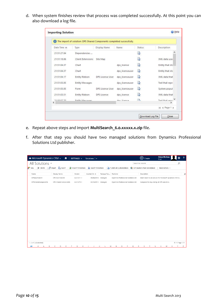d. When system finishes review that process was completed successfully. At this point you can also download a log file.

|                      | The import of solution: DPS Shared Components completed successfully. |                  |                 |              |                     |
|----------------------|-----------------------------------------------------------------------|------------------|-----------------|--------------|---------------------|
| Date Time $\uparrow$ | Type                                                                  | Display Name     | Name            | Status       | Description         |
| 21:51:27.84          | Dependencies                                                          |                  |                 | R,           |                     |
| 21:51:18.86          | Client Extensions                                                     | Site Map         |                 | R            | XML data user       |
| 21:51:04.37          | Chart                                                                 |                  | dps license     | R            | Entity that stc     |
| 21:51:04.37          | Chart                                                                 |                  | dps licenseuser | R            | Entity that stc     |
| 21:51:04.17          | <b>Entity Ribbon</b>                                                  | DPS License User | dps_licenseuser | R            | XML data that       |
| 21:51:03.85          | <b>Entity Messages</b>                                                |                  | dps_licenseuser | R            | Text that repri     |
| 21:51:03.85          | Form                                                                  | DPS License User | dps licenseuser | R            | System-popul        |
| 21:51:03.51          | Entity Ribbon                                                         | DPS License      | dps license     | R            | XML data that       |
| 71.50.57.70<br>×.    | Entity Maccagae                                                       |                  | dne licanca     | $\mathbb{R}$ | Tayt that rann<br>× |
|                      |                                                                       |                  |                 |              | « Page 1 »<br>H.    |

- e. Repeat above steps and import **MultiSearch\_6.0.xxxxx.x.zip** file.
- f. After that step you should have two managed solutions from Dynamics Professional Solutions Ltd publisher.

| Mu Microsoft Dynamics CRM ~<br>$\hat{\mathbf{n}}$                  | SETTINGS ~          | Solutions $  \vee$  |                                     | $\bigoplus$ Create             | <b>Adam McAma</b><br>First                             |                          | <sup>2</sup> |
|--------------------------------------------------------------------|---------------------|---------------------|-------------------------------------|--------------------------------|--------------------------------------------------------|--------------------------|--------------|
| All Solutions ~                                                    |                     |                     |                                     | Search for records             |                                                        | Q                        |              |
| 图 Import<br>Export<br><b>8</b> <sup>2</sup> New<br>$\times$ Delete | Import Translations | Export Translations | Publish All Customizations          | Get Solutions from Marketplace | More Actions *                                         |                          |              |
| Display Name<br>Name                                               | Version             | Installed On 个      | Package Typ Publisher               | Description                    |                                                        |                          | е            |
| DPSMultiSearch<br>DPS Multi Search                                 | 6.0.13311.1         | 09/08/2014 Managed  | Dynamics Professional Solutions Ltd |                                | Multi Search is an add-on for Microsoft Dynamics CRM w |                          |              |
| DPSSharedComponents<br>DPS Shared Components                       | 6.0.13275.1         | 02/10/2013 Managed  | Dynamics Professional Solutions Ltd |                                | Components required by all DPS solutions.              |                          |              |
|                                                                    |                     |                     |                                     |                                |                                                        |                          |              |
|                                                                    |                     |                     |                                     |                                |                                                        |                          |              |
|                                                                    |                     |                     |                                     |                                |                                                        |                          |              |
|                                                                    |                     |                     |                                     |                                |                                                        |                          |              |
|                                                                    |                     |                     |                                     |                                |                                                        |                          |              |
|                                                                    |                     |                     |                                     |                                |                                                        |                          |              |
|                                                                    |                     |                     |                                     |                                |                                                        |                          |              |
|                                                                    |                     |                     |                                     |                                |                                                        |                          |              |
|                                                                    |                     |                     |                                     |                                |                                                        |                          |              |
|                                                                    |                     |                     |                                     |                                |                                                        |                          |              |
|                                                                    |                     |                     |                                     |                                |                                                        |                          |              |
|                                                                    |                     |                     |                                     |                                |                                                        |                          |              |
| 1 - 2 of 2 (0 selected)                                            |                     |                     |                                     |                                |                                                        |                          |              |
| В<br>D<br>Ε<br>All<br>C<br>ä<br>A                                  | н<br>F<br>G         | κ                   | N<br>$\circ$<br>P<br>M              | Q<br>R<br>T<br>s               | U<br>V<br>W                                            | III 4 Page 1 ▶<br>V<br>X | Z            |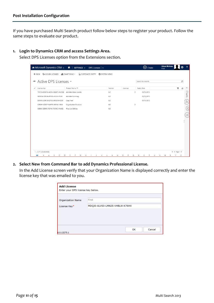If you have purchased Multi Search product follow below steps to register your product. Follow the same steps to evaluate our product.

**1. Login to Dynamics CRM and access Settings Area.** 

Select DPS Licenses option from the Extensions section.

|               |                                                    | Au Microsoft Dynamics CRM v + +   SETTINGS v DPS Licenses   v |                                             | $\bigoplus$ Create           | <b>Adam McAma</b><br>First              |
|---------------|----------------------------------------------------|---------------------------------------------------------------|---------------------------------------------|------------------------------|-----------------------------------------|
|               | ← NEW ♦ ASSIGN LICENSES و& ASSIGN LICENSES و NEW   | <b>B</b> CUSTOMIZE ENTITY                                     | SYSTEM VIEWS                                |                              |                                         |
|               |                                                    |                                                               |                                             |                              |                                         |
| $\rightarrow$ | Active DPS Licenses ×                              |                                                               |                                             | Search for records           | Q                                       |
| $\checkmark$  | License Key                                        | Product Name 个                                                | Version<br>Licenses                         | Expiry Date                  | ≺<br>v.<br>e                            |
|               | 7ZCCM-R387M-A0SBI-QQATT-XMZQ6                      | Activities Mass Update                                        | 6.0                                         | $\overline{2}$<br>03/11/2013 | Charts                                  |
|               | W39LW-G9SUA-9YINS-H6VYI-IFUX6                      | Activities Summary                                            | 6.0                                         | 03/11/2013                   |                                         |
|               | 02AMK-QNFL0-Q7R9J-WKGH4-4Z0JF                      | Copy Tool                                                     | 6.0                                         | 07/11/2013                   | dh,                                     |
|               | CORW4-XZ92F-NUHFX-9KNNJ-INWJI                      | Organization Structure                                        | 6.0                                         | $\overline{2}$               |                                         |
|               | C6896-XZ9XK-XT2FW-7K6NC-HNAS2                      | Price List Utilities                                          | 6.0                                         |                              | $\sqrt{2}$                              |
|               |                                                    |                                                               |                                             |                              |                                         |
|               |                                                    |                                                               |                                             |                              |                                         |
|               |                                                    |                                                               |                                             |                              |                                         |
|               |                                                    |                                                               |                                             |                              |                                         |
|               |                                                    |                                                               |                                             |                              |                                         |
|               |                                                    |                                                               |                                             |                              |                                         |
|               |                                                    |                                                               |                                             |                              |                                         |
|               |                                                    |                                                               |                                             |                              |                                         |
|               |                                                    |                                                               |                                             |                              |                                         |
|               |                                                    |                                                               |                                             |                              |                                         |
|               | 1 - 5 of 5 (0 selected)<br>B<br>All<br>C<br>*<br>А | D<br>F<br>н<br>E.<br>G                                        | Κ<br>M<br>$\mathbb N$<br>$\circ$<br>P<br>J. | Q<br>R<br>S<br>U<br>T.       | III 4 Page 1 ▶<br>Ζ<br>V<br>W<br>X<br>γ |

**2. Select New from Command Bar to add Dynamics Professional License.**

In the Add License screen verify that your Organization Name is displayed correctly and enter the license key that was emailed to you.

| <b>Add License</b><br>Enter your DPS license key below. |                               |
|---------------------------------------------------------|-------------------------------|
| <b>Organization Name</b>                                | First                         |
| License Key*                                            | MDQJ0-ALVS0-LMN25-VHBLW-K76HX |
|                                                         |                               |
|                                                         |                               |
|                                                         |                               |
|                                                         | Cancel<br>OK                  |
| 6.0.13275.1                                             |                               |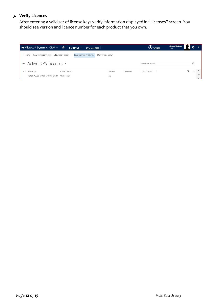#### **3. Verify Licences**

After entering a valid set of license keys verify information displayed in "Licenses" screen. You should see version and licence number for each product that you own.

| <b>4</b> Microsoft Dynamics CRM $\sim$ <b>n</b>   SETTINGS $\sim$ DPS Licenses   $\sim$      | Adam McAma<br>$\bigoplus$ Create<br>First |                    |   |
|----------------------------------------------------------------------------------------------|-------------------------------------------|--------------------|---|
| + NEW → ASSIGN LICENSES III CHART PANE ▼ <b>B</b> : CUSTOMIZE ENTITY <b>C</b> : SYSTEM VIEWS |                                           |                    |   |
| → Active DPS Licenses ×                                                                      |                                           | Search for records |   |
| $\checkmark$<br>Product Name<br>License Key                                                  | Version<br>Licenses                       | Expiry Date 个      | e |
| MDQJ0-ALVS0-LMN25-VHBLW-K76HX Multi Search                                                   | 6.0                                       |                    |   |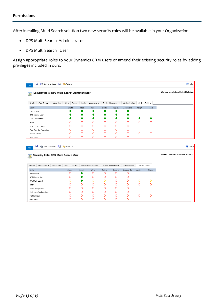After installing Multi Search solution two new security roles will be available in your Organization.

- DPS Multi Search Administrator
- DPS Multi Search User

Assign appropriate roles to your Dynamics CRM users or amend their existing security roles by adding privileges included in ours.

| File             | W<br>Save and Close <b>of ASActions</b>       |           |           |         |         |                            |         |                    |               |                 |                 | @ Help -                              |
|------------------|-----------------------------------------------|-----------|-----------|---------|---------|----------------------------|---------|--------------------|---------------|-----------------|-----------------|---------------------------------------|
| <b>B</b>         | Security Role: DPS Multi Search Administrator |           |           |         |         |                            |         |                    |               |                 |                 | Working on solution: Default Solution |
| Details          | Core Records                                  | Marketing | Sales     | Service |         | <b>Business Management</b> |         | Service Management | Customization |                 | Custom Entities |                                       |
| Entity           |                                               |           |           | Create  | Read    | Write                      | Delete  | Append             | Append To     | Assign          | Share           |                                       |
| DPS License      |                                               |           |           |         |         |                            |         |                    |               |                 |                 |                                       |
| DPS License User |                                               |           |           |         |         |                            |         |                    |               |                 |                 |                                       |
| DPS Multi Search |                                               |           |           |         |         |                            |         |                    |               |                 |                 |                                       |
| Filter           |                                               |           |           | О       | O       | $\circ$                    | O       | $\circ$            | $\circ$       | $\circ$         | $\circ$         |                                       |
|                  | Post Configuration                            |           |           | Ο       | O       | $\circ$                    | O       | $\circ$            | O             |                 |                 |                                       |
|                  | Post Rule Configuration                       |           |           | O       | O       | $\circ$                    | $\circ$ | $\circ$            | O             |                 |                 |                                       |
| Profile Album    |                                               |           |           | О       | $\circ$ | $\circ$                    | O       | $\circ$            | O             | $\circ$         | $\circ$         |                                       |
| Wall View        |                                               |           |           | О       | O       | O                          | O       | $\circ$            | O             |                 |                 |                                       |
|                  |                                               |           |           |         |         |                            |         |                    |               |                 |                 |                                       |
| Ы<br>File        | <b>Ex</b> Save and Close                      | 昏         | Actions + |         |         |                            |         |                    |               |                 |                 | <b><i>O</i></b> Help ▼                |
| $\frac{1}{2}$    | Security Role: DPS Multi Search User          |           |           |         |         |                            |         |                    |               |                 |                 | Working on solution: Default Solution |
| Details          | Core Records                                  | Marketing | Sales     | Service |         | Business Management        |         | Service Management | Customization | Custom Entities |                 |                                       |
| Entity           |                                               |           | Create    |         | Read    | Write                      | Delete  | Append             | Append To     | Assign          | Share           |                                       |
| DPS License      |                                               |           | $\circ$   |         |         | O                          | $\circ$ | O                  | O             |                 |                 |                                       |
| DPS License User |                                               |           | О         |         |         | O                          | $\circ$ | O                  | O             |                 |                 |                                       |
| DPS Multi Search |                                               |           | ۵         |         |         | ۵                          | $\circ$ | $\circ$            | $\circ$       | ♤               | ۵               |                                       |
| Filter           |                                               |           | Ο         |         | O       | O                          | O       | $\circ$            | $\circ$       | $\circ$         | O               |                                       |
|                  | Post Configuration                            |           | Ο         |         | O       | O                          | $\circ$ | O                  | $\circ$       |                 |                 |                                       |
|                  | Post Rule Configuration                       |           | Ο         |         | O       | Ο                          | $\circ$ | $\circ$            | O             |                 |                 |                                       |
| Profile Album    |                                               |           | O         |         | O       | O                          | $\circ$ | O                  | O             | $\circ$         | O               |                                       |
| Wall View        |                                               |           | O         |         | O       | O                          | O       | O                  | $\circ$       |                 |                 |                                       |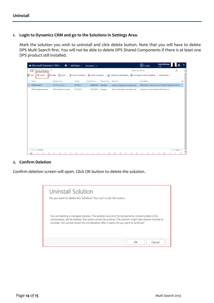#### **1. Login to Dynamics CRM and go to the Solutions in Settings Area.**

Mark the solution you wish to uninstall and click delete button. Note that you will have to delete DPS Multi Search first. You will not be able to delete DPS Shared Components if there is at least one DPS product still installed.

|   |                           | <b>Au</b> Microsoft Dynamics CRM ~ |                 |                       | $\hat{m}$ |   | SETTINGS ~          | Solutions   v       |         |   |                       |                                     |   |                    | $\bigoplus$ Create                        |   | First | <b>Adam McAma</b>                                      |              | Ö | $\overline{\phantom{a}}$ |
|---|---------------------------|------------------------------------|-----------------|-----------------------|-----------|---|---------------------|---------------------|---------|---|-----------------------|-------------------------------------|---|--------------------|-------------------------------------------|---|-------|--------------------------------------------------------|--------------|---|--------------------------|
|   |                           | All Solutions v                    |                 |                       |           |   |                     |                     |         |   |                       |                                     |   | Search for records |                                           |   |       |                                                        | Q            |   | ∧                        |
|   | <b>8</b> <sup>3</sup> New | $\times$ Delete                    | <b>B</b> Import |                       | Export    |   | Import Translations | Export Translations |         |   |                       | Publish All Customizations          |   |                    | Got Solutions from Marketplace            |   |       | More Actions *                                         |              |   |                          |
|   | Name                      |                                    |                 | Display Name          |           |   | Version             | Installed On 个      |         |   | Package Typ Publisher |                                     |   |                    | Description                               |   |       |                                                        |              | a |                          |
| Ⅳ |                           | DPSMultiSearch                     |                 | DPS Multi Search      |           |   | 6.0.13311.1         | 09/08/2014          | Managed |   |                       | Dynamics Professional Solutions Ltd |   |                    |                                           |   |       | Multi Search is an add-on for Microsoft Dynamics CRM w |              |   |                          |
|   |                           | DPSSharedComponents                |                 | DPS Shared Components |           |   | 6.0.13275.1         | 02/10/2013 Managed  |         |   |                       | Dynamics Professional Solutions Ltd |   |                    | Components required by all DPS solutions. |   |       |                                                        |              |   |                          |
|   |                           |                                    |                 |                       |           |   |                     |                     |         |   |                       |                                     |   |                    |                                           |   |       |                                                        |              |   |                          |
|   |                           |                                    |                 |                       |           |   |                     |                     |         |   |                       |                                     |   |                    |                                           |   |       |                                                        |              |   |                          |
|   |                           |                                    |                 |                       |           |   |                     |                     |         |   |                       |                                     |   |                    |                                           |   |       |                                                        |              |   |                          |
|   |                           |                                    |                 |                       |           |   |                     |                     |         |   |                       |                                     |   |                    |                                           |   |       |                                                        |              |   |                          |
|   |                           |                                    |                 |                       |           |   |                     |                     |         |   |                       |                                     |   |                    |                                           |   |       |                                                        |              |   |                          |
|   |                           |                                    |                 |                       |           |   |                     |                     |         |   |                       |                                     |   |                    |                                           |   |       |                                                        |              |   |                          |
|   |                           |                                    |                 |                       |           |   |                     |                     |         |   |                       |                                     |   |                    |                                           |   |       |                                                        |              |   |                          |
|   |                           |                                    |                 |                       |           |   |                     |                     |         |   |                       |                                     |   |                    |                                           |   |       |                                                        |              |   |                          |
|   |                           |                                    |                 |                       |           |   |                     |                     |         |   |                       |                                     |   |                    |                                           |   |       |                                                        |              |   |                          |
|   |                           |                                    |                 |                       |           |   |                     |                     |         |   |                       |                                     |   |                    |                                           |   |       |                                                        |              |   |                          |
|   |                           |                                    |                 |                       |           |   |                     |                     |         |   |                       |                                     |   |                    |                                           |   |       |                                                        |              |   |                          |
|   |                           |                                    |                 |                       |           |   |                     |                     |         |   |                       |                                     |   |                    |                                           |   |       |                                                        |              |   |                          |
|   |                           |                                    |                 |                       |           |   |                     |                     |         |   |                       |                                     |   |                    |                                           |   |       |                                                        |              |   |                          |
|   |                           | 1 - 2 of 2 (1 selected)            |                 |                       |           |   |                     |                     |         |   |                       |                                     |   |                    |                                           |   |       |                                                        | H 4 Page 1 ▶ |   |                          |
|   | All                       | #<br>Α                             | B               | D<br>C                | Ε         | F | G<br>н              | Κ<br>J.             | L       | M | $\mathbb N$           | $\circ$<br>P                        | Q | S<br>R             | т                                         | U | V     | W<br>X                                                 | V            | Ζ |                          |

#### **2. Confirm Deletion**

Confirm deletion screen will open. Click OK button to delete the solution.

| Uninstall Solution<br>Do you want to delete this Solution? You can't undo this action.                                                                                                                                                                                                                    |              |
|-----------------------------------------------------------------------------------------------------------------------------------------------------------------------------------------------------------------------------------------------------------------------------------------------------------|--------------|
| You are deleting a managed solution. The solution and all of its components, including data in the<br>components, will be deleted. This action cannot be undone. This solution might take several minutes to<br>uninstall. You cannot cancel the uninstallation after it starts. Do you want to continue? |              |
|                                                                                                                                                                                                                                                                                                           | ОК<br>Cancel |